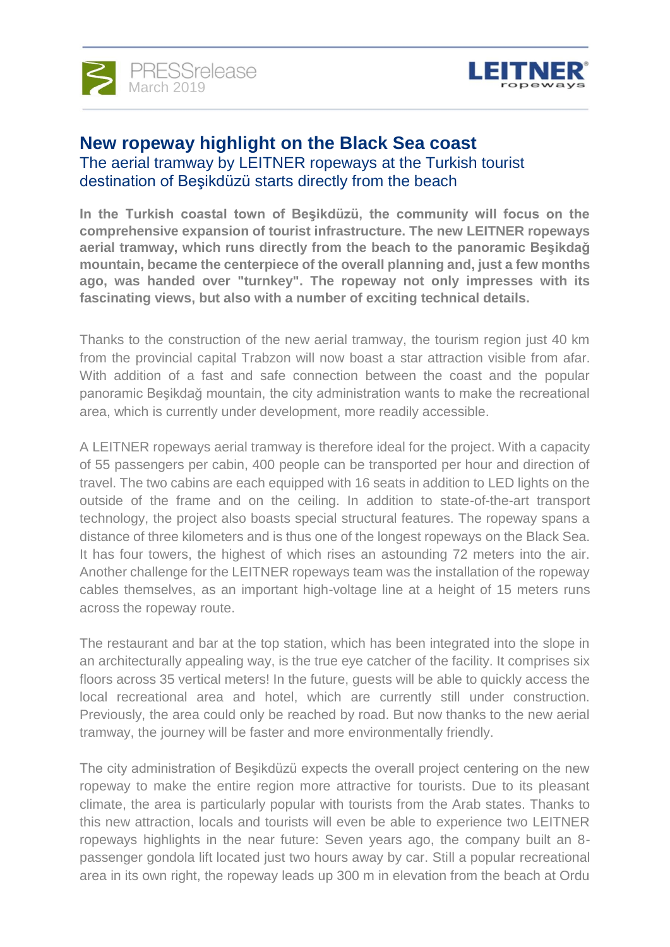



### **New ropeway highlight on the Black Sea coast** The aerial tramway by LEITNER ropeways at the Turkish tourist destination of Beşikdüzü starts directly from the beach

**In the Turkish coastal town of Beşikdüzü, the community will focus on the comprehensive expansion of tourist infrastructure. The new [LEITNER ropeways](https://www.leitner-ropeways.com/en/) aerial tramway, which runs directly from the beach to the panoramic Beşikdağ mountain, became the centerpiece of the overall planning and, just a few months ago, was handed over "turnkey". The ropeway not only impresses with its fascinating views, but also with a number of exciting technical details.**

Thanks to the construction of the new aerial tramway, the tourism region just 40 km from the provincial capital Trabzon will now boast a star attraction visible from afar. With addition of a fast and safe connection between the coast and the popular panoramic Beşikdağ mountain, the city administration wants to make the recreational area, which is currently under development, more readily accessible.

A LEITNER ropeways aerial tramway is therefore ideal for the project. With a capacity of 55 passengers per cabin, 400 people can be transported per hour and direction of travel. The two cabins are each equipped with 16 seats in addition to LED lights on the outside of the frame and on the ceiling. In addition to state-of-the-art transport technology, the project also boasts special structural features. The ropeway spans a distance of three kilometers and is thus one of the longest ropeways on the Black Sea. It has four towers, the highest of which rises an astounding 72 meters into the air. Another challenge for the LEITNER ropeways team was the installation of the ropeway cables themselves, as an important high-voltage line at a height of 15 meters runs across the ropeway route.

The restaurant and bar at the top station, which has been integrated into the slope in an architecturally appealing way, is the true eye catcher of the facility. It comprises six floors across 35 vertical meters! In the future, guests will be able to quickly access the local recreational area and hotel, which are currently still under construction. Previously, the area could only be reached by road. But now thanks to the new aerial tramway, the journey will be faster and more environmentally friendly.

The city administration of Beşikdüzü expects the overall project centering on the new ropeway to make the entire region more attractive for tourists. Due to its pleasant climate, the area is particularly popular with tourists from the Arab states. Thanks to this new attraction, locals and tourists will even be able to experience two LEITNER ropeways highlights in the near future: Seven years ago, the company built an 8 passenger gondola lift located just two hours away by car. Still a popular recreational area in its own right, the ropeway leads up 300 m in elevation from the beach at Ordu